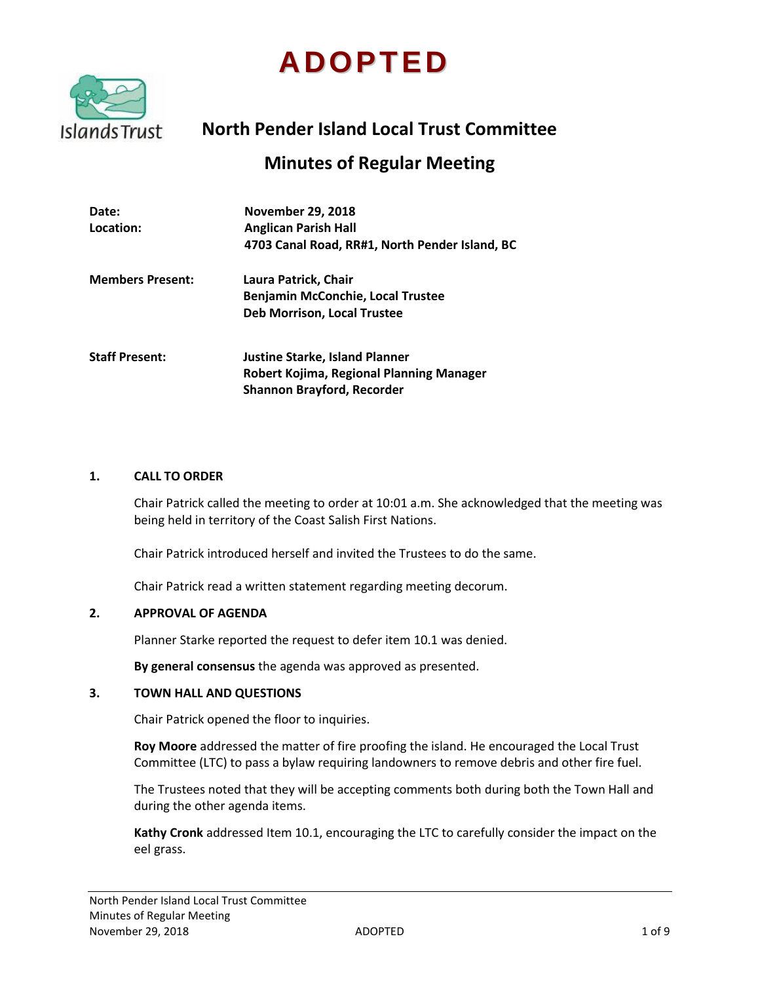# **ADOPTED**



# **North Pender Island Local Trust Committee**

# **Minutes of Regular Meeting**

| Date:<br>Location:      | <b>November 29, 2018</b><br><b>Anglican Parish Hall</b><br>4703 Canal Road, RR#1, North Pender Island, BC              |
|-------------------------|------------------------------------------------------------------------------------------------------------------------|
| <b>Members Present:</b> | Laura Patrick, Chair<br><b>Benjamin McConchie, Local Trustee</b><br><b>Deb Morrison, Local Trustee</b>                 |
| <b>Staff Present:</b>   | <b>Justine Starke, Island Planner</b><br>Robert Kojima, Regional Planning Manager<br><b>Shannon Brayford, Recorder</b> |

#### **1. CALL TO ORDER**

Chair Patrick called the meeting to order at 10:01 a.m. She acknowledged that the meeting was being held in territory of the Coast Salish First Nations.

Chair Patrick introduced herself and invited the Trustees to do the same.

Chair Patrick read a written statement regarding meeting decorum.

#### **2. APPROVAL OF AGENDA**

Planner Starke reported the request to defer item 10.1 was denied.

**By general consensus** the agenda was approved as presented.

#### **3. TOWN HALL AND QUESTIONS**

Chair Patrick opened the floor to inquiries.

**Roy Moore** addressed the matter of fire proofing the island. He encouraged the Local Trust Committee (LTC) to pass a bylaw requiring landowners to remove debris and other fire fuel.

The Trustees noted that they will be accepting comments both during both the Town Hall and during the other agenda items.

**Kathy Cronk** addressed Item 10.1, encouraging the LTC to carefully consider the impact on the eel grass.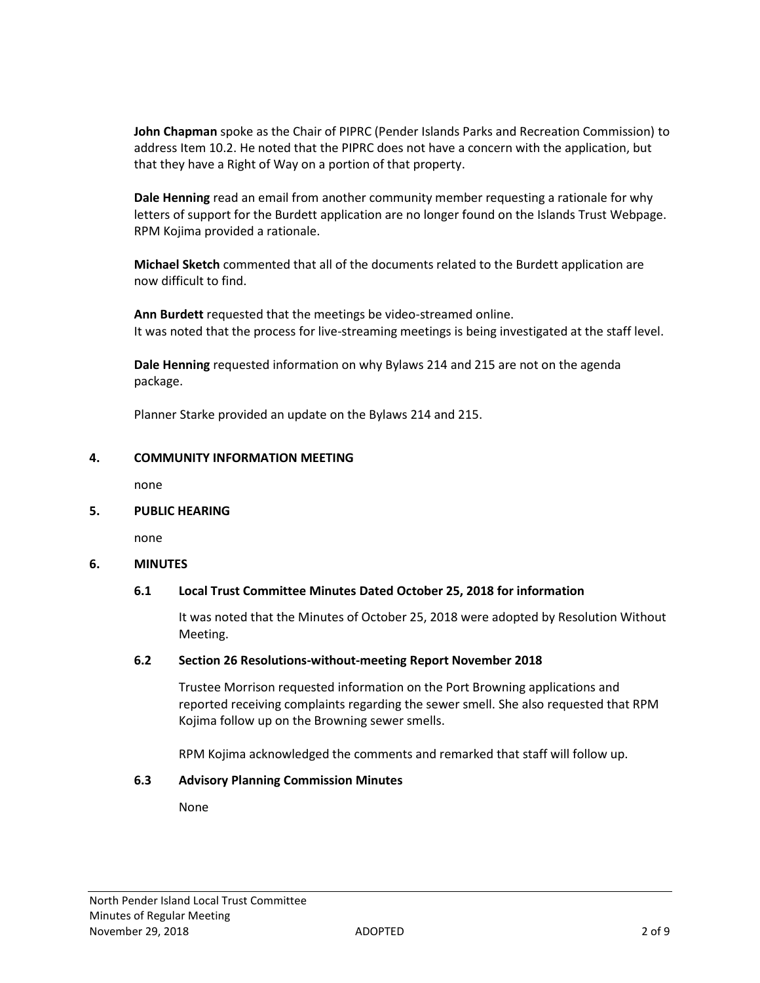**John Chapman** spoke as the Chair of PIPRC (Pender Islands Parks and Recreation Commission) to address Item 10.2. He noted that the PIPRC does not have a concern with the application, but that they have a Right of Way on a portion of that property.

**Dale Henning** read an email from another community member requesting a rationale for why letters of support for the Burdett application are no longer found on the Islands Trust Webpage. RPM Kojima provided a rationale.

**Michael Sketch** commented that all of the documents related to the Burdett application are now difficult to find.

**Ann Burdett** requested that the meetings be video-streamed online. It was noted that the process for live-streaming meetings is being investigated at the staff level.

**Dale Henning** requested information on why Bylaws 214 and 215 are not on the agenda package.

Planner Starke provided an update on the Bylaws 214 and 215.

#### **4. COMMUNITY INFORMATION MEETING**

none

#### **5. PUBLIC HEARING**

none

# **6. MINUTES**

# **6.1 Local Trust Committee Minutes Dated October 25, 2018 for information**

It was noted that the Minutes of October 25, 2018 were adopted by Resolution Without Meeting.

#### **6.2 Section 26 Resolutions-without-meeting Report November 2018**

Trustee Morrison requested information on the Port Browning applications and reported receiving complaints regarding the sewer smell. She also requested that RPM Kojima follow up on the Browning sewer smells.

RPM Kojima acknowledged the comments and remarked that staff will follow up.

#### **6.3 Advisory Planning Commission Minutes**

None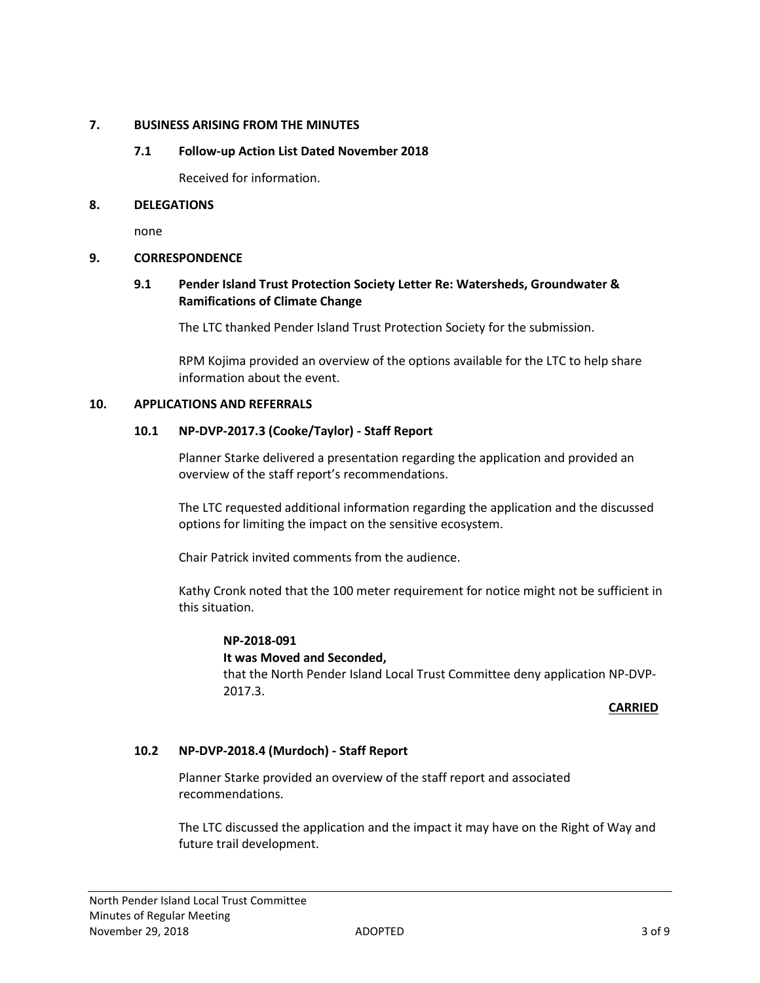# **7. BUSINESS ARISING FROM THE MINUTES**

# **7.1 Follow-up Action List Dated November 2018**

Received for information.

# **8. DELEGATIONS**

none

# **9. CORRESPONDENCE**

# **9.1 Pender Island Trust Protection Society Letter Re: Watersheds, Groundwater & Ramifications of Climate Change**

The LTC thanked Pender Island Trust Protection Society for the submission.

RPM Kojima provided an overview of the options available for the LTC to help share information about the event.

# **10. APPLICATIONS AND REFERRALS**

# **10.1 NP-DVP-2017.3 (Cooke/Taylor) - Staff Report**

Planner Starke delivered a presentation regarding the application and provided an overview of the staff report's recommendations.

The LTC requested additional information regarding the application and the discussed options for limiting the impact on the sensitive ecosystem.

Chair Patrick invited comments from the audience.

Kathy Cronk noted that the 100 meter requirement for notice might not be sufficient in this situation.

# **NP-2018-091**

# **It was Moved and Seconded,**

that the North Pender Island Local Trust Committee deny application NP-DVP-2017.3.

# **CARRIED**

# **10.2 NP-DVP-2018.4 (Murdoch) - Staff Report**

Planner Starke provided an overview of the staff report and associated recommendations.

The LTC discussed the application and the impact it may have on the Right of Way and future trail development.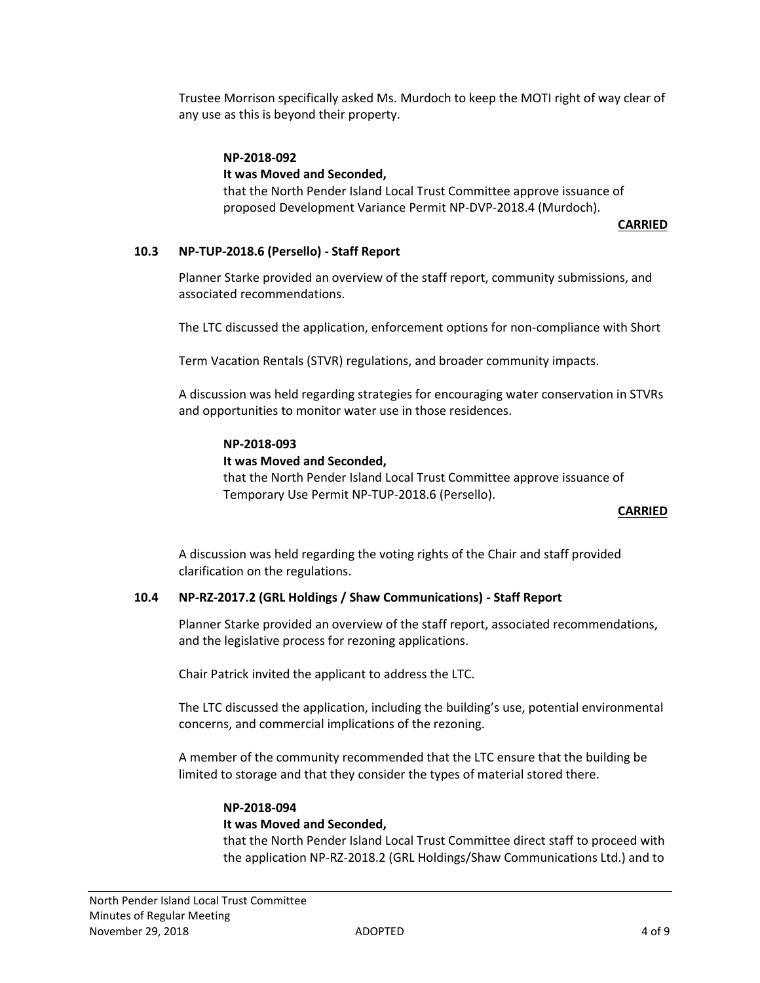Trustee Morrison specifically asked Ms. Murdoch to keep the MOTI right of way clear of any use as this is beyond their property.

# **NP-2018-092**

# **It was Moved and Seconded,**

that the North Pender Island Local Trust Committee approve issuance of proposed Development Variance Permit NP-DVP-2018.4 (Murdoch).

# **CARRIED**

# **10.3 NP-TUP-2018.6 (Persello) - Staff Report**

Planner Starke provided an overview of the staff report, community submissions, and associated recommendations.

The LTC discussed the application, enforcement options for non-compliance with Short

Term Vacation Rentals (STVR) regulations, and broader community impacts.

A discussion was held regarding strategies for encouraging water conservation in STVRs and opportunities to monitor water use in those residences.

#### **NP-2018-093**

#### **It was Moved and Seconded,**

that the North Pender Island Local Trust Committee approve issuance of Temporary Use Permit NP-TUP-2018.6 (Persello).

#### **CARRIED**

A discussion was held regarding the voting rights of the Chair and staff provided clarification on the regulations.

# **10.4 NP-RZ-2017.2 (GRL Holdings / Shaw Communications) - Staff Report**

Planner Starke provided an overview of the staff report, associated recommendations, and the legislative process for rezoning applications.

Chair Patrick invited the applicant to address the LTC.

The LTC discussed the application, including the building's use, potential environmental concerns, and commercial implications of the rezoning.

A member of the community recommended that the LTC ensure that the building be limited to storage and that they consider the types of material stored there.

#### **NP-2018-094**

#### **It was Moved and Seconded,**

that the North Pender Island Local Trust Committee direct staff to proceed with the application NP-RZ-2018.2 (GRL Holdings/Shaw Communications Ltd.) and to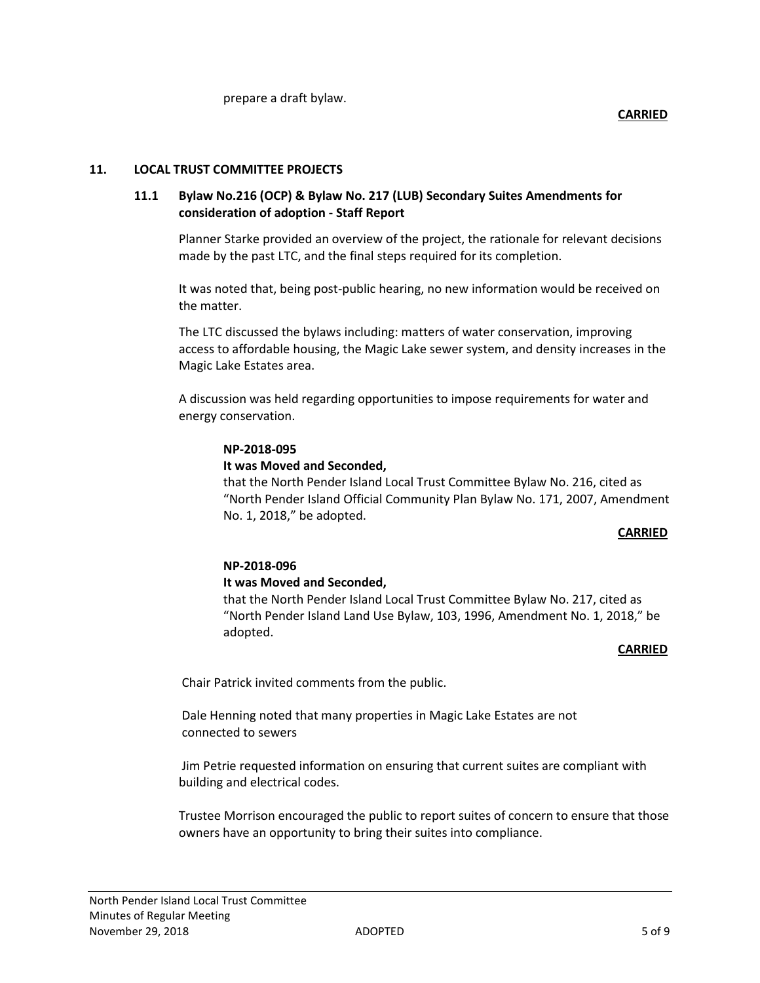# **11. LOCAL TRUST COMMITTEE PROJECTS**

# **11.1 Bylaw No.216 (OCP) & Bylaw No. 217 (LUB) Secondary Suites Amendments for consideration of adoption - Staff Report**

Planner Starke provided an overview of the project, the rationale for relevant decisions made by the past LTC, and the final steps required for its completion.

It was noted that, being post-public hearing, no new information would be received on the matter.

The LTC discussed the bylaws including: matters of water conservation, improving access to affordable housing, the Magic Lake sewer system, and density increases in the Magic Lake Estates area.

A discussion was held regarding opportunities to impose requirements for water and energy conservation.

#### **NP-2018-095**

#### **It was Moved and Seconded,**

that the North Pender Island Local Trust Committee Bylaw No. 216, cited as "North Pender Island Official Community Plan Bylaw No. 171, 2007, Amendment No. 1, 2018," be adopted.

#### **CARRIED**

# **NP-2018-096**

#### **It was Moved and Seconded,**

that the North Pender Island Local Trust Committee Bylaw No. 217, cited as "North Pender Island Land Use Bylaw, 103, 1996, Amendment No. 1, 2018," be adopted.

# *CARRIED*  $CARRED$

Chair Patrick invited comments from the public.

Dale Henning noted that many properties in Magic Lake Estates are not connected to sewers

Jim Petrie requested information on ensuring that current suites are compliant with building and electrical codes.

Trustee Morrison encouraged the public to report suites of concern to ensure that those owners have an opportunity to bring their suites into compliance.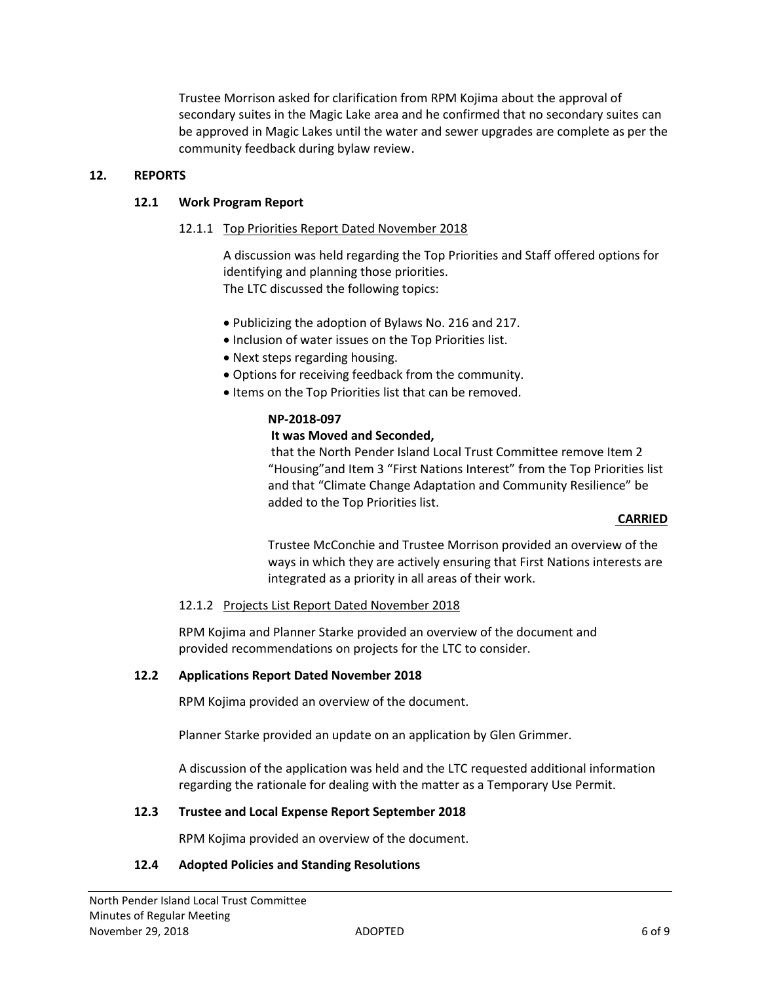Trustee Morrison asked for clarification from RPM Kojima about the approval of secondary suites in the Magic Lake area and he confirmed that no secondary suites can be approved in Magic Lakes until the water and sewer upgrades are complete as per the community feedback during bylaw review.

# **12. REPORTS**

# **12.1 Work Program Report**

# 12.1.1 Top Priorities Report Dated November 2018

A discussion was held regarding the Top Priorities and Staff offered options for identifying and planning those priorities. The LTC discussed the following topics:

- Publicizing the adoption of Bylaws No. 216 and 217.
- Inclusion of water issues on the Top Priorities list.
- Next steps regarding housing.
- Options for receiving feedback from the community.
- Items on the Top Priorities list that can be removed.

# **NP-2018-097**

# **It was Moved and Seconded,**

that the North Pender Island Local Trust Committee remove Item 2 "Housing"and Item 3 "First Nations Interest" from the Top Priorities list and that "Climate Change Adaptation and Community Resilience" be added to the Top Priorities list.

#### **CARRIED**

Trustee McConchie and Trustee Morrison provided an overview of the ways in which they are actively ensuring that First Nations interests are integrated as a priority in all areas of their work.

# 12.1.2 Projects List Report Dated November 2018

RPM Kojima and Planner Starke provided an overview of the document and provided recommendations on projects for the LTC to consider.

# **12.2 Applications Report Dated November 2018**

RPM Kojima provided an overview of the document.

Planner Starke provided an update on an application by Glen Grimmer.

A discussion of the application was held and the LTC requested additional information regarding the rationale for dealing with the matter as a Temporary Use Permit.

# **12.3 Trustee and Local Expense Report September 2018**

RPM Kojima provided an overview of the document.

# **12.4 Adopted Policies and Standing Resolutions**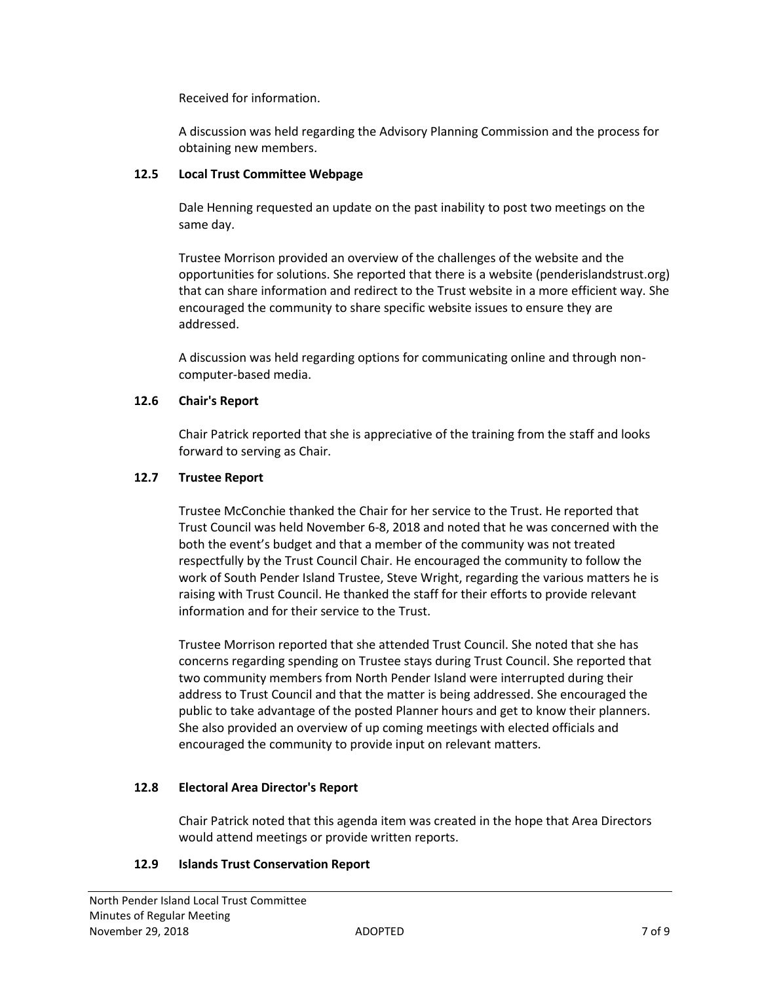Received for information.

A discussion was held regarding the Advisory Planning Commission and the process for obtaining new members.

# **12.5 Local Trust Committee Webpage**

Dale Henning requested an update on the past inability to post two meetings on the same day.

Trustee Morrison provided an overview of the challenges of the website and the opportunities for solutions. She reported that there is a website (penderislandstrust.org) that can share information and redirect to the Trust website in a more efficient way. She encouraged the community to share specific website issues to ensure they are addressed.

A discussion was held regarding options for communicating online and through noncomputer-based media.

# **12.6 Chair's Report**

Chair Patrick reported that she is appreciative of the training from the staff and looks forward to serving as Chair.

# **12.7 Trustee Report**

Trustee McConchie thanked the Chair for her service to the Trust. He reported that Trust Council was held November 6-8, 2018 and noted that he was concerned with the both the event's budget and that a member of the community was not treated respectfully by the Trust Council Chair. He encouraged the community to follow the work of South Pender Island Trustee, Steve Wright, regarding the various matters he is raising with Trust Council. He thanked the staff for their efforts to provide relevant information and for their service to the Trust.

Trustee Morrison reported that she attended Trust Council. She noted that she has concerns regarding spending on Trustee stays during Trust Council. She reported that two community members from North Pender Island were interrupted during their address to Trust Council and that the matter is being addressed. She encouraged the public to take advantage of the posted Planner hours and get to know their planners. She also provided an overview of up coming meetings with elected officials and encouraged the community to provide input on relevant matters.

# **12.8 Electoral Area Director's Report**

Chair Patrick noted that this agenda item was created in the hope that Area Directors would attend meetings or provide written reports.

# **12.9 Islands Trust Conservation Report**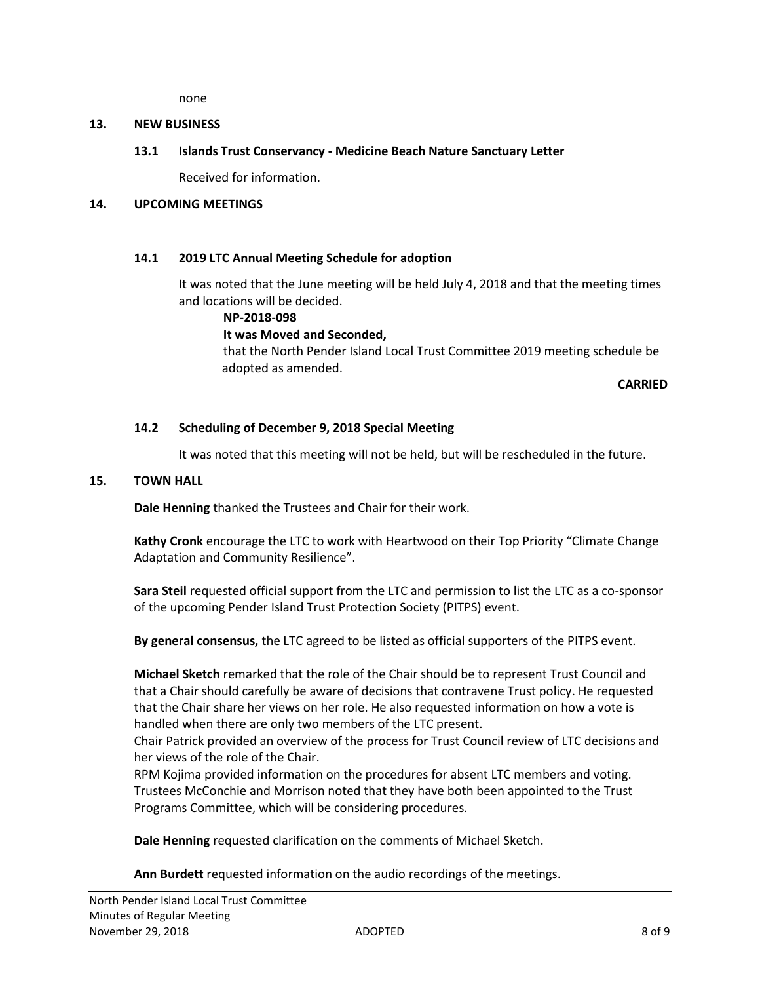none

# **13. NEW BUSINESS**

# **13.1 Islands Trust Conservancy - Medicine Beach Nature Sanctuary Letter**

Received for information.

# **14. UPCOMING MEETINGS**

#### **14.1 2019 LTC Annual Meeting Schedule for adoption**

It was noted that the June meeting will be held July 4, 2018 and that the meeting times and locations will be decided.

#### **NP-2018-098**

# **It was Moved and Seconded,**

that the North Pender Island Local Trust Committee 2019 meeting schedule be adopted as amended.

**CARRIED**

# **14.2 Scheduling of December 9, 2018 Special Meeting**

It was noted that this meeting will not be held, but will be rescheduled in the future.

# **15. TOWN HALL**

**Dale Henning** thanked the Trustees and Chair for their work.

**Kathy Cronk** encourage the LTC to work with Heartwood on their Top Priority "Climate Change Adaptation and Community Resilience".

**Sara Steil** requested official support from the LTC and permission to list the LTC as a co-sponsor of the upcoming Pender Island Trust Protection Society (PITPS) event.

**By general consensus,** the LTC agreed to be listed as official supporters of the PITPS event.

**Michael Sketch** remarked that the role of the Chair should be to represent Trust Council and that a Chair should carefully be aware of decisions that contravene Trust policy. He requested that the Chair share her views on her role. He also requested information on how a vote is handled when there are only two members of the LTC present.

Chair Patrick provided an overview of the process for Trust Council review of LTC decisions and her views of the role of the Chair.

RPM Kojima provided information on the procedures for absent LTC members and voting. Trustees McConchie and Morrison noted that they have both been appointed to the Trust Programs Committee, which will be considering procedures.

**Dale Henning** requested clarification on the comments of Michael Sketch.

**Ann Burdett** requested information on the audio recordings of the meetings.